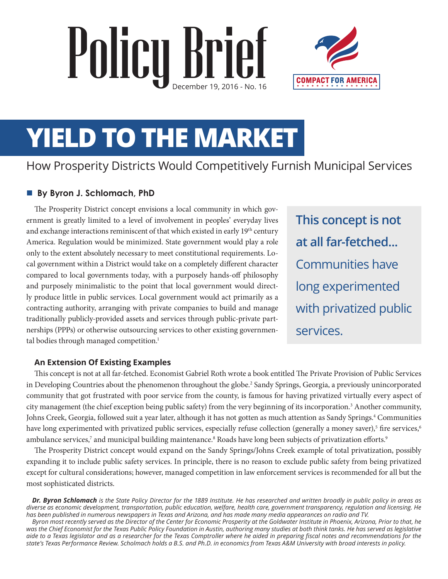# Policy Brief



# **YIELD TO THE MARKET**

# How Prosperity Districts Would Competitively Furnish Municipal Services

#### ■ By Byron J. Schlomach, PhD

The Prosperity District concept envisions a local community in which government is greatly limited to a level of involvement in peoples' everyday lives and exchange interactions reminiscent of that which existed in early 19<sup>th</sup> century America. Regulation would be minimized. State government would play a role only to the extent absolutely necessary to meet constitutional requirements. Local government within a District would take on a completely different character compared to local governments today, with a purposely hands-off philosophy and purposely minimalistic to the point that local government would directly produce little in public services. Local government would act primarily as a contracting authority, arranging with private companies to build and manage traditionally publicly-provided assets and services through public-private partnerships (PPPs) or otherwise outsourcing services to other existing governmental bodies through managed competition.<sup>1</sup>

**This concept is not at all far-fetched...**  Communities have long experimented with privatized public services.

#### **An Extension Of Existing Examples**

This concept is not at all far-fetched. Economist Gabriel Roth wrote a book entitled The Private Provision of Public Services in Developing Countries about the phenomenon throughout the globe.<sup>2</sup> Sandy Springs, Georgia, a previously unincorporated community that got frustrated with poor service from the county, is famous for having privatized virtually every aspect of city management (the chief exception being public safety) from the very beginning of its incorporation.<sup>3</sup> Another community, Johns Creek, Georgia, followed suit a year later, although it has not gotten as much attention as Sandy Springs.<sup>4</sup> Communities have long experimented with privatized public services, especially refuse collection (generally a money saver),<sup>5</sup> fire services,<sup>6</sup> ambulance services,<sup>7</sup> and municipal building maintenance.<sup>8</sup> Roads have long been subjects of privatization efforts.<sup>9</sup>

The Prosperity District concept would expand on the Sandy Springs/Johns Creek example of total privatization, possibly expanding it to include public safety services. In principle, there is no reason to exclude public safety from being privatized except for cultural considerations; however, managed competition in law enforcement services is recommended for all but the most sophisticated districts.

*Dr. Byron Schlomach is the State Policy Director for the 1889 Institute. He has researched and written broadly in public policy in areas as diverse as economic development, transportation, public education, welfare, health care, government transparency, regulation and licensing. He has been published in numerous newspapers in Texas and Arizona, and has made many media appearances on radio and TV.*

*Byron most recently served as the Director of the Center for Economic Prosperity at the Goldwater Institute in Phoenix, Arizona, Prior to that, he*  was the Chief Economist for the Texas Public Policy Foundation in Austin, authoring many studies at both think tanks. He has served as legislative *aide to a Texas legislator and as a researcher for the Texas Comptroller where he aided in preparing fiscal notes and recommendations for the state's Texas Performance Review. Scholmach holds a B.S. and Ph.D. in economics from Texas A&M University with broad interests in policy.*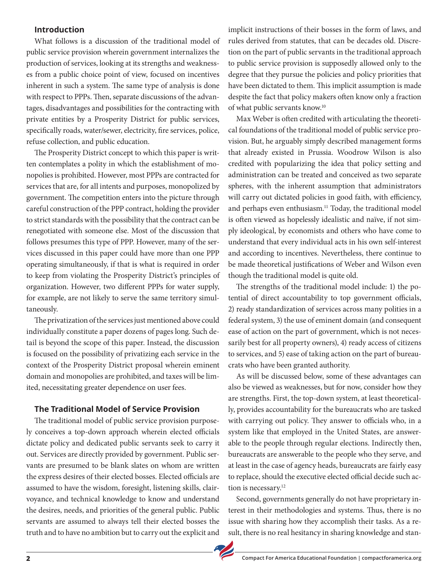#### **Introduction**

What follows is a discussion of the traditional model of public service provision wherein government internalizes the production of services, looking at its strengths and weaknesses from a public choice point of view, focused on incentives inherent in such a system. The same type of analysis is done with respect to PPPs. Then, separate discussions of the advantages, disadvantages and possibilities for the contracting with private entities by a Prosperity District for public services, specifically roads, water/sewer, electricity, fire services, police, refuse collection, and public education.

The Prosperity District concept to which this paper is written contemplates a polity in which the establishment of monopolies is prohibited. However, most PPPs are contracted for services that are, for all intents and purposes, monopolized by government. The competition enters into the picture through careful construction of the PPP contract, holding the provider to strict standards with the possibility that the contract can be renegotiated with someone else. Most of the discussion that follows presumes this type of PPP. However, many of the services discussed in this paper could have more than one PPP operating simultaneously, if that is what is required in order to keep from violating the Prosperity District's principles of organization. However, two different PPPs for water supply, for example, are not likely to serve the same territory simultaneously.

The privatization of the services just mentioned above could individually constitute a paper dozens of pages long. Such detail is beyond the scope of this paper. Instead, the discussion is focused on the possibility of privatizing each service in the context of the Prosperity District proposal wherein eminent domain and monopolies are prohibited, and taxes will be limited, necessitating greater dependence on user fees.

#### **The Traditional Model of Service Provision**

The traditional model of public service provision purposely conceives a top-down approach wherein elected officials dictate policy and dedicated public servants seek to carry it out. Services are directly provided by government. Public servants are presumed to be blank slates on whom are written the express desires of their elected bosses. Elected officials are assumed to have the wisdom, foresight, listening skills, clairvoyance, and technical knowledge to know and understand the desires, needs, and priorities of the general public. Public servants are assumed to always tell their elected bosses the truth and to have no ambition but to carry out the explicit and

implicit instructions of their bosses in the form of laws, and rules derived from statutes, that can be decades old. Discretion on the part of public servants in the traditional approach to public service provision is supposedly allowed only to the degree that they pursue the policies and policy priorities that have been dictated to them. This implicit assumption is made despite the fact that policy makers often know only a fraction of what public servants know.10

Max Weber is often credited with articulating the theoretical foundations of the traditional model of public service provision. But, he arguably simply described management forms that already existed in Prussia. Woodrow Wilson is also credited with popularizing the idea that policy setting and administration can be treated and conceived as two separate spheres, with the inherent assumption that administrators will carry out dictated policies in good faith, with efficiency, and perhaps even enthusiasm.<sup>11</sup> Today, the traditional model is often viewed as hopelessly idealistic and naïve, if not simply ideological, by economists and others who have come to understand that every individual acts in his own self-interest and according to incentives. Nevertheless, there continue to be made theoretical justifications of Weber and Wilson even though the traditional model is quite old.

The strengths of the traditional model include: 1) the potential of direct accountability to top government officials, 2) ready standardization of services across many polities in a federal system, 3) the use of eminent domain (and consequent ease of action on the part of government, which is not necessarily best for all property owners), 4) ready access of citizens to services, and 5) ease of taking action on the part of bureaucrats who have been granted authority.

As will be discussed below, some of these advantages can also be viewed as weaknesses, but for now, consider how they are strengths. First, the top-down system, at least theoretically, provides accountability for the bureaucrats who are tasked with carrying out policy. They answer to officials who, in a system like that employed in the United States, are answerable to the people through regular elections. Indirectly then, bureaucrats are answerable to the people who they serve, and at least in the case of agency heads, bureaucrats are fairly easy to replace, should the executive elected official decide such action is necessary.<sup>12</sup>

Second, governments generally do not have proprietary interest in their methodologies and systems. Thus, there is no issue with sharing how they accomplish their tasks. As a result, there is no real hesitancy in sharing knowledge and stan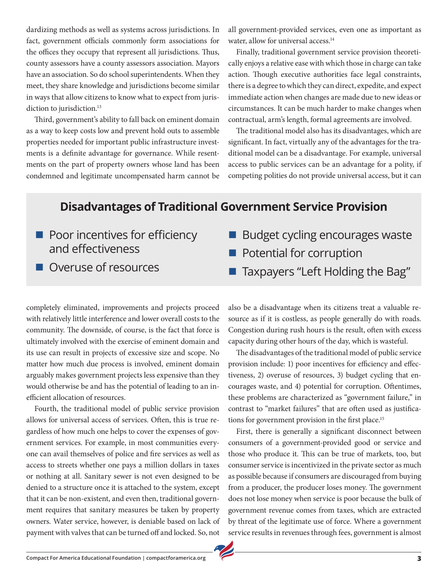dardizing methods as well as systems across jurisdictions. In fact, government officials commonly form associations for the offices they occupy that represent all jurisdictions. Thus, county assessors have a county assessors association. Mayors have an association. So do school superintendents. When they meet, they share knowledge and jurisdictions become similar in ways that allow citizens to know what to expect from jurisdiction to jurisdiction.<sup>13</sup>

Third, government's ability to fall back on eminent domain as a way to keep costs low and prevent hold outs to assemble properties needed for important public infrastructure investments is a definite advantage for governance. While resentments on the part of property owners whose land has been condemned and legitimate uncompensated harm cannot be all government-provided services, even one as important as water, allow for universal access.<sup>14</sup>

Finally, traditional government service provision theoretically enjoys a relative ease with which those in charge can take action. Though executive authorities face legal constraints, there is a degree to which they can direct, expedite, and expect immediate action when changes are made due to new ideas or circumstances. It can be much harder to make changes when contractual, arm's length, formal agreements are involved.

The traditional model also has its disadvantages, which are significant. In fact, virtually any of the advantages for the traditional model can be a disadvantage. For example, universal access to public services can be an advantage for a polity, if competing polities do not provide universal access, but it can

# **Disadvantages of Traditional Government Service Provision**

- $\blacksquare$  Poor incentives for efficiency and effectiveness
- **n** Overuse of resources

completely eliminated, improvements and projects proceed with relatively little interference and lower overall costs to the community. The downside, of course, is the fact that force is ultimately involved with the exercise of eminent domain and its use can result in projects of excessive size and scope. No matter how much due process is involved, eminent domain arguably makes government projects less expensive than they would otherwise be and has the potential of leading to an inefficient allocation of resources.

Fourth, the traditional model of public service provision allows for universal access of services. Often, this is true regardless of how much one helps to cover the expenses of government services. For example, in most communities everyone can avail themselves of police and fire services as well as access to streets whether one pays a million dollars in taxes or nothing at all. Sanitary sewer is not even designed to be denied to a structure once it is attached to the system, except that it can be non-existent, and even then, traditional government requires that sanitary measures be taken by property owners. Water service, however, is deniable based on lack of payment with valves that can be turned off and locked. So, not

- Budget cycling encourages waste
- $\blacksquare$  Potential for corruption
- Taxpayers "Left Holding the Bag"

also be a disadvantage when its citizens treat a valuable resource as if it is costless, as people generally do with roads. Congestion during rush hours is the result, often with excess capacity during other hours of the day, which is wasteful.

The disadvantages of the traditional model of public service provision include: 1) poor incentives for efficiency and effectiveness, 2) overuse of resources, 3) budget cycling that encourages waste, and 4) potential for corruption. Oftentimes, these problems are characterized as "government failure," in contrast to "market failures" that are often used as justifications for government provision in the first place.<sup>15</sup>

First, there is generally a significant disconnect between consumers of a government-provided good or service and those who produce it. This can be true of markets, too, but consumer service is incentivized in the private sector as much as possible because if consumers are discouraged from buying from a producer, the producer loses money. The government does not lose money when service is poor because the bulk of government revenue comes from taxes, which are extracted by threat of the legitimate use of force. Where a government service results in revenues through fees, government is almost

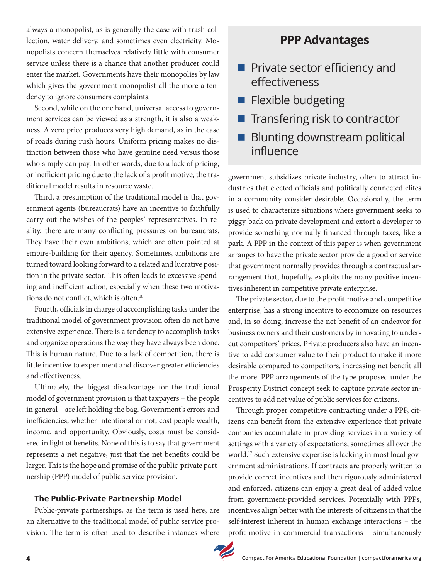always a monopolist, as is generally the case with trash collection, water delivery, and sometimes even electricity. Monopolists concern themselves relatively little with consumer service unless there is a chance that another producer could enter the market. Governments have their monopolies by law which gives the government monopolist all the more a tendency to ignore consumers complaints.

Second, while on the one hand, universal access to government services can be viewed as a strength, it is also a weakness. A zero price produces very high demand, as in the case of roads during rush hours. Uniform pricing makes no distinction between those who have genuine need versus those who simply can pay. In other words, due to a lack of pricing, or inefficient pricing due to the lack of a profit motive, the traditional model results in resource waste.

Third, a presumption of the traditional model is that government agents (bureaucrats) have an incentive to faithfully carry out the wishes of the peoples' representatives. In reality, there are many conflicting pressures on bureaucrats. They have their own ambitions, which are often pointed at empire-building for their agency. Sometimes, ambitions are turned toward looking forward to a related and lucrative position in the private sector. This often leads to excessive spending and inefficient action, especially when these two motivations do not conflict, which is often.16

Fourth, officials in charge of accomplishing tasks under the traditional model of government provision often do not have extensive experience. There is a tendency to accomplish tasks and organize operations the way they have always been done. This is human nature. Due to a lack of competition, there is little incentive to experiment and discover greater efficiencies and effectiveness.

Ultimately, the biggest disadvantage for the traditional model of government provision is that taxpayers – the people in general – are left holding the bag. Government's errors and inefficiencies, whether intentional or not, cost people wealth, income, and opportunity. Obviously, costs must be considered in light of benefits. None of this is to say that government represents a net negative, just that the net benefits could be larger. This is the hope and promise of the public-private partnership (PPP) model of public service provision.

#### **The Public-Private Partnership Model**

Public-private partnerships, as the term is used here, are an alternative to the traditional model of public service provision. The term is often used to describe instances where

### **PPP Advantages**

- Private sector efficiency and effectiveness
- Flexible budgeting
- $\blacksquare$  Transfering risk to contractor
- Blunting downstream political influence

government subsidizes private industry, often to attract industries that elected officials and politically connected elites in a community consider desirable. Occasionally, the term is used to characterize situations where government seeks to piggy-back on private development and extort a developer to provide something normally financed through taxes, like a park. A PPP in the context of this paper is when government arranges to have the private sector provide a good or service that government normally provides through a contractual arrangement that, hopefully, exploits the many positive incentives inherent in competitive private enterprise.

The private sector, due to the profit motive and competitive enterprise, has a strong incentive to economize on resources and, in so doing, increase the net benefit of an endeavor for business owners and their customers by innovating to undercut competitors' prices. Private producers also have an incentive to add consumer value to their product to make it more desirable compared to competitors, increasing net benefit all the more. PPP arrangements of the type proposed under the Prosperity District concept seek to capture private sector incentives to add net value of public services for citizens.

Through proper competitive contracting under a PPP, citizens can benefit from the extensive experience that private companies accumulate in providing services in a variety of settings with a variety of expectations, sometimes all over the world.17 Such extensive expertise is lacking in most local government administrations. If contracts are properly written to provide correct incentives and then rigorously administered and enforced, citizens can enjoy a great deal of added value from government-provided services. Potentially with PPPs, incentives align better with the interests of citizens in that the self-interest inherent in human exchange interactions – the profit motive in commercial transactions – simultaneously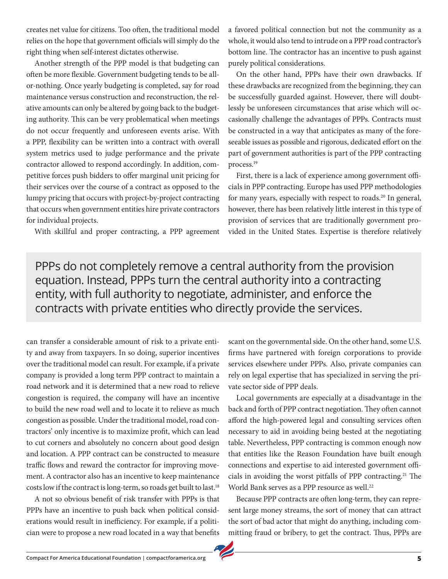creates net value for citizens. Too often, the traditional model relies on the hope that government officials will simply do the right thing when self-interest dictates otherwise.

Another strength of the PPP model is that budgeting can often be more flexible. Government budgeting tends to be allor-nothing. Once yearly budgeting is completed, say for road maintenance versus construction and reconstruction, the relative amounts can only be altered by going back to the budgeting authority. This can be very problematical when meetings do not occur frequently and unforeseen events arise. With a PPP, flexibility can be written into a contract with overall system metrics used to judge performance and the private contractor allowed to respond accordingly. In addition, competitive forces push bidders to offer marginal unit pricing for their services over the course of a contract as opposed to the lumpy pricing that occurs with project-by-project contracting that occurs when government entities hire private contractors for individual projects.

With skillful and proper contracting, a PPP agreement

a favored political connection but not the community as a whole, it would also tend to intrude on a PPP road contractor's bottom line. The contractor has an incentive to push against purely political considerations.

On the other hand, PPPs have their own drawbacks. If these drawbacks are recognized from the beginning, they can be successfully guarded against. However, there will doubtlessly be unforeseen circumstances that arise which will occasionally challenge the advantages of PPPs. Contracts must be constructed in a way that anticipates as many of the foreseeable issues as possible and rigorous, dedicated effort on the part of government authorities is part of the PPP contracting process.19

First, there is a lack of experience among government officials in PPP contracting. Europe has used PPP methodologies for many years, especially with respect to roads.<sup>20</sup> In general, however, there has been relatively little interest in this type of provision of services that are traditionally government provided in the United States. Expertise is therefore relatively

PPPs do not completely remove a central authority from the provision equation. Instead, PPPs turn the central authority into a contracting entity, with full authority to negotiate, administer, and enforce the contracts with private entities who directly provide the services.

can transfer a considerable amount of risk to a private entity and away from taxpayers. In so doing, superior incentives over the traditional model can result. For example, if a private company is provided a long term PPP contract to maintain a road network and it is determined that a new road to relieve congestion is required, the company will have an incentive to build the new road well and to locate it to relieve as much congestion as possible. Under the traditional model, road contractors' only incentive is to maximize profit, which can lead to cut corners and absolutely no concern about good design and location. A PPP contract can be constructed to measure traffic flows and reward the contractor for improving movement. A contractor also has an incentive to keep maintenance costs low if the contract is long-term, so roads get built to last.18

A not so obvious benefit of risk transfer with PPPs is that PPPs have an incentive to push back when political considerations would result in inefficiency. For example, if a politician were to propose a new road located in a way that benefits

scant on the governmental side. On the other hand, some U.S. firms have partnered with foreign corporations to provide services elsewhere under PPPs. Also, private companies can rely on legal expertise that has specialized in serving the private sector side of PPP deals.

Local governments are especially at a disadvantage in the back and forth of PPP contract negotiation. They often cannot afford the high-powered legal and consulting services often necessary to aid in avoiding being bested at the negotiating table. Nevertheless, PPP contracting is common enough now that entities like the Reason Foundation have built enough connections and expertise to aid interested government officials in avoiding the worst pitfalls of PPP contracting.<sup>21</sup> The World Bank serves as a PPP resource as well.<sup>22</sup>

Because PPP contracts are often long-term, they can represent large money streams, the sort of money that can attract the sort of bad actor that might do anything, including committing fraud or bribery, to get the contract. Thus, PPPs are

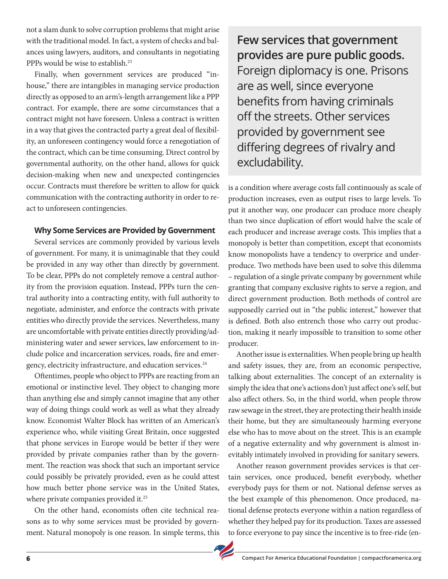not a slam dunk to solve corruption problems that might arise with the traditional model. In fact, a system of checks and balances using lawyers, auditors, and consultants in negotiating PPPs would be wise to establish.<sup>23</sup>

Finally, when government services are produced "inhouse," there are intangibles in managing service production directly as opposed to an arm's-length arrangement like a PPP contract. For example, there are some circumstances that a contract might not have foreseen. Unless a contract is written in a way that gives the contracted party a great deal of flexibility, an unforeseen contingency would force a renegotiation of the contract, which can be time consuming. Direct control by governmental authority, on the other hand, allows for quick decision-making when new and unexpected contingencies occur. Contracts must therefore be written to allow for quick communication with the contracting authority in order to react to unforeseen contingencies.

#### **Why Some Services are Provided by Government**

Several services are commonly provided by various levels of government. For many, it is unimaginable that they could be provided in any way other than directly by government. To be clear, PPPs do not completely remove a central authority from the provision equation. Instead, PPPs turn the central authority into a contracting entity, with full authority to negotiate, administer, and enforce the contracts with private entities who directly provide the services. Nevertheless, many are uncomfortable with private entities directly providing/administering water and sewer services, law enforcement to include police and incarceration services, roads, fire and emergency, electricity infrastructure, and education services.<sup>24</sup>

Oftentimes, people who object to PPPs are reacting from an emotional or instinctive level. They object to changing more than anything else and simply cannot imagine that any other way of doing things could work as well as what they already know. Economist Walter Block has written of an American's experience who, while visiting Great Britain, once suggested that phone services in Europe would be better if they were provided by private companies rather than by the government. The reaction was shock that such an important service could possibly be privately provided, even as he could attest how much better phone service was in the United States, where private companies provided it.<sup>25</sup>

On the other hand, economists often cite technical reasons as to why some services must be provided by government. Natural monopoly is one reason. In simple terms, this

**Few services that government provides are pure public goods.**  Foreign diplomacy is one. Prisons are as well, since everyone benefits from having criminals off the streets. Other services provided by government see differing degrees of rivalry and excludability.

is a condition where average costs fall continuously as scale of production increases, even as output rises to large levels. To put it another way, one producer can produce more cheaply than two since duplication of effort would halve the scale of each producer and increase average costs. This implies that a monopoly is better than competition, except that economists know monopolists have a tendency to overprice and underproduce. Two methods have been used to solve this dilemma – regulation of a single private company by government while granting that company exclusive rights to serve a region, and direct government production. Both methods of control are supposedly carried out in "the public interest," however that is defined. Both also entrench those who carry out production, making it nearly impossible to transition to some other producer.

Another issue is externalities. When people bring up health and safety issues, they are, from an economic perspective, talking about externalities. The concept of an externality is simply the idea that one's actions don't just affect one's self, but also affect others. So, in the third world, when people throw raw sewage in the street, they are protecting their health inside their home, but they are simultaneously harming everyone else who has to move about on the street. This is an example of a negative externality and why government is almost inevitably intimately involved in providing for sanitary sewers.

Another reason government provides services is that certain services, once produced, benefit everybody, whether everybody pays for them or not. National defense serves as the best example of this phenomenon. Once produced, national defense protects everyone within a nation regardless of whether they helped pay for its production. Taxes are assessed to force everyone to pay since the incentive is to free-ride (en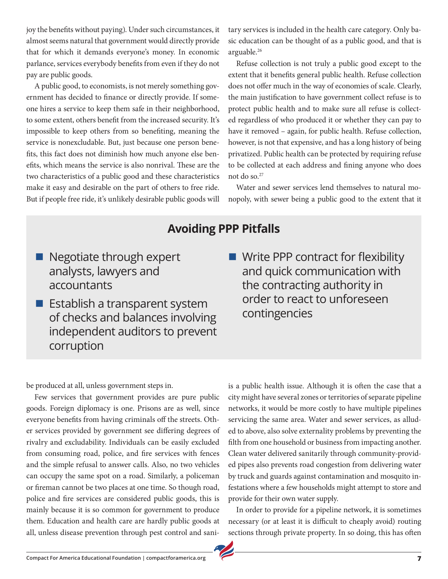joy the benefits without paying). Under such circumstances, it almost seems natural that government would directly provide that for which it demands everyone's money. In economic parlance, services everybody benefits from even if they do not pay are public goods.

A public good, to economists, is not merely something government has decided to finance or directly provide. If someone hires a service to keep them safe in their neighborhood, to some extent, others benefit from the increased security. It's impossible to keep others from so benefiting, meaning the service is nonexcludable. But, just because one person benefits, this fact does not diminish how much anyone else benefits, which means the service is also nonrival. These are the two characteristics of a public good and these characteristics make it easy and desirable on the part of others to free ride. But if people free ride, it's unlikely desirable public goods will

tary services is included in the health care category. Only basic education can be thought of as a public good, and that is arguable.26

Refuse collection is not truly a public good except to the extent that it benefits general public health. Refuse collection does not offer much in the way of economies of scale. Clearly, the main justification to have government collect refuse is to protect public health and to make sure all refuse is collected regardless of who produced it or whether they can pay to have it removed – again, for public health. Refuse collection, however, is not that expensive, and has a long history of being privatized. Public health can be protected by requiring refuse to be collected at each address and fining anyone who does not do so. $27$ 

Water and sewer services lend themselves to natural monopoly, with sewer being a public good to the extent that it

# **Avoiding PPP Pitfalls**

- $\blacksquare$  Negotiate through expert analysts, lawyers and accountants
- $\blacksquare$  Establish a transparent system of checks and balances involving independent auditors to prevent corruption

 $\blacksquare$  Write PPP contract for flexibility and quick communication with the contracting authority in order to react to unforeseen contingencies

be produced at all, unless government steps in.

Few services that government provides are pure public goods. Foreign diplomacy is one. Prisons are as well, since everyone benefits from having criminals off the streets. Other services provided by government see differing degrees of rivalry and excludability. Individuals can be easily excluded from consuming road, police, and fire services with fences and the simple refusal to answer calls. Also, no two vehicles can occupy the same spot on a road. Similarly, a policeman or fireman cannot be two places at one time. So though road, police and fire services are considered public goods, this is mainly because it is so common for government to produce them. Education and health care are hardly public goods at all, unless disease prevention through pest control and saniis a public health issue. Although it is often the case that a city might have several zones or territories of separate pipeline networks, it would be more costly to have multiple pipelines servicing the same area. Water and sewer services, as alluded to above, also solve externality problems by preventing the filth from one household or business from impacting another. Clean water delivered sanitarily through community-provided pipes also prevents road congestion from delivering water by truck and guards against contamination and mosquito infestations where a few households might attempt to store and provide for their own water supply.

In order to provide for a pipeline network, it is sometimes necessary (or at least it is difficult to cheaply avoid) routing sections through private property. In so doing, this has often

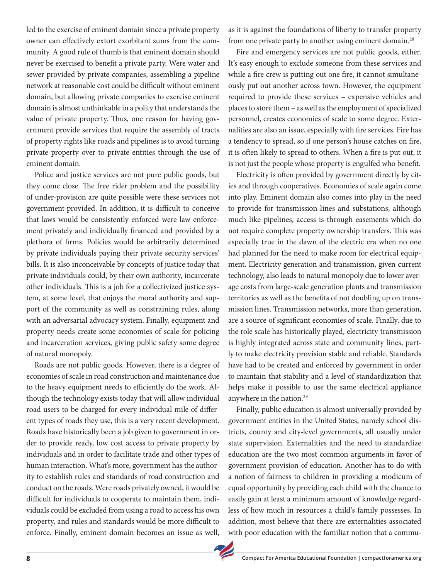led to the exercise of eminent domain since a private property owner can effectively extort exorbitant sums from the community. A good rule of thumb is that eminent domain should never be exercised to benefit a private party. Were water and sewer provided by private companies, assembling a pipeline network at reasonable cost could be difficult without eminent domain, but allowing private companies to exercise eminent domain is almost unthinkable in a polity that understands the value of private property. Thus, one reason for having government provide services that require the assembly of tracts of property rights like roads and pipelines is to avoid turning private property over to private entities through the use of eminent domain.

Police and justice services are not pure public goods, but they come close. The free rider problem and the possibility of under-provision are quite possible were these services not government-provided. In addition, it is difficult to conceive that laws would be consistently enforced were law enforcement privately and individually financed and provided by a plethora of firms. Policies would be arbitrarily determined by private individuals paying their private security services' bills. It is also inconceivable by concepts of justice today that private individuals could, by their own authority, incarcerate other individuals. This is a job for a collectivized justice system, at some level, that enjoys the moral authority and support of the community as well as constraining rules, along with an adversarial advocacy system. Finally, equipment and property needs create some economies of scale for policing and incarceration services, giving public safety some degree of natural monopoly.

Roads are not public goods. However, there is a degree of economies of scale in road construction and maintenance due to the heavy equipment needs to efficiently do the work. Although the technology exists today that will allow individual road users to be charged for every individual mile of different types of roads they use, this is a very recent development. Roads have historically been a job given to government in order to provide ready, low cost access to private property by individuals and in order to facilitate trade and other types of human interaction. What's more, government has the authority to establish rules and standards of road construction and conduct on the roads. Were roads privately owned, it would be difficult for individuals to cooperate to maintain them, individuals could be excluded from using a road to access his own property, and rules and standards would be more difficult to enforce. Finally, eminent domain becomes an issue as well,

as it is against the foundations of liberty to transfer property from one private party to another using eminent domain.<sup>28</sup>

Fire and emergency services are not public goods, either. It's easy enough to exclude someone from these services and while a fire crew is putting out one fire, it cannot simultaneously put out another across town. However, the equipment required to provide these services – expensive vehicles and places to store them – as well as the employment of specialized personnel, creates economies of scale to some degree. Externalities are also an issue, especially with fire services. Fire has a tendency to spread, so if one person's house catches on fire, it is often likely to spread to others. When a fire is put out, it is not just the people whose property is engulfed who benefit.

Electricity is often provided by government directly by cities and through cooperatives. Economies of scale again come into play. Eminent domain also comes into play in the need to provide for transmission lines and substations, although much like pipelines, access is through easements which do not require complete property ownership transfers. This was especially true in the dawn of the electric era when no one had planned for the need to make room for electrical equipment. Electricity generation and transmission, given current technology, also leads to natural monopoly due to lower average costs from large-scale generation plants and transmission territories as well as the benefits of not doubling up on transmission lines. Transmission networks, more than generation, are a source of significant economies of scale. Finally, due to the role scale has historically played, electricity transmission is highly integrated across state and community lines, partly to make electricity provision stable and reliable. Standards have had to be created and enforced by government in order to maintain that stability and a level of standardization that helps make it possible to use the same electrical appliance anywhere in the nation.<sup>29</sup>

Finally, public education is almost universally provided by government entities in the United States, namely school districts, county and city-level governments, all usually under state supervision. Externalities and the need to standardize education are the two most common arguments in favor of government provision of education. Another has to do with a notion of fairness to children in providing a modicum of equal opportunity by providing each child with the chance to easily gain at least a minimum amount of knowledge regardless of how much in resources a child's family possesses. In addition, most believe that there are externalities associated with poor education with the familiar notion that a commu-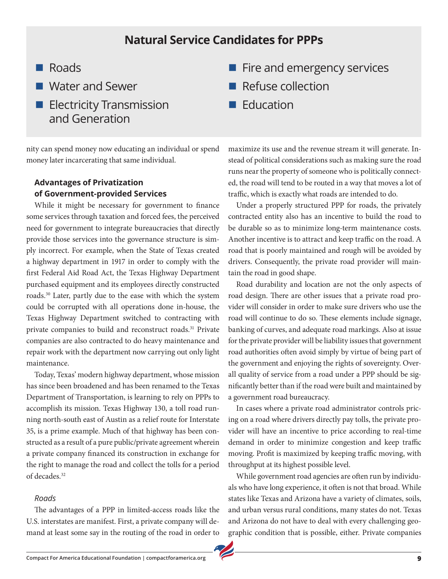# **Natural Service Candidates for PPPs**

- **n** Roads
- **N** Water and Sewer
- $\blacksquare$  Electricity Transmission and Generation

nity can spend money now educating an individual or spend money later incarcerating that same individual.

#### **Advantages of Privatization of Government-provided Services**

While it might be necessary for government to finance some services through taxation and forced fees, the perceived need for government to integrate bureaucracies that directly provide those services into the governance structure is simply incorrect. For example, when the State of Texas created a highway department in 1917 in order to comply with the first Federal Aid Road Act, the Texas Highway Department purchased equipment and its employees directly constructed roads.30 Later, partly due to the ease with which the system could be corrupted with all operations done in-house, the Texas Highway Department switched to contracting with private companies to build and reconstruct roads.<sup>31</sup> Private companies are also contracted to do heavy maintenance and repair work with the department now carrying out only light maintenance.

Today, Texas' modern highway department, whose mission has since been broadened and has been renamed to the Texas Department of Transportation, is learning to rely on PPPs to accomplish its mission. Texas Highway 130, a toll road running north-south east of Austin as a relief route for Interstate 35, is a prime example. Much of that highway has been constructed as a result of a pure public/private agreement wherein a private company financed its construction in exchange for the right to manage the road and collect the tolls for a period of decades.32

#### *Roads*

The advantages of a PPP in limited-access roads like the U.S. interstates are manifest. First, a private company will demand at least some say in the routing of the road in order to

- $\blacksquare$  Fire and emergency services
- **n** Refuse collection
- **Education**

maximize its use and the revenue stream it will generate. Instead of political considerations such as making sure the road runs near the property of someone who is politically connected, the road will tend to be routed in a way that moves a lot of traffic, which is exactly what roads are intended to do.

Under a properly structured PPP for roads, the privately contracted entity also has an incentive to build the road to be durable so as to minimize long-term maintenance costs. Another incentive is to attract and keep traffic on the road. A road that is poorly maintained and rough will be avoided by drivers. Consequently, the private road provider will maintain the road in good shape.

Road durability and location are not the only aspects of road design. There are other issues that a private road provider will consider in order to make sure drivers who use the road will continue to do so. These elements include signage, banking of curves, and adequate road markings. Also at issue for the private provider will be liability issues that government road authorities often avoid simply by virtue of being part of the government and enjoying the rights of sovereignty. Overall quality of service from a road under a PPP should be significantly better than if the road were built and maintained by a government road bureaucracy.

In cases where a private road administrator controls pricing on a road where drivers directly pay tolls, the private provider will have an incentive to price according to real-time demand in order to minimize congestion and keep traffic moving. Profit is maximized by keeping traffic moving, with throughput at its highest possible level.

While government road agencies are often run by individuals who have long experience, it often is not that broad. While states like Texas and Arizona have a variety of climates, soils, and urban versus rural conditions, many states do not. Texas and Arizona do not have to deal with every challenging geographic condition that is possible, either. Private companies

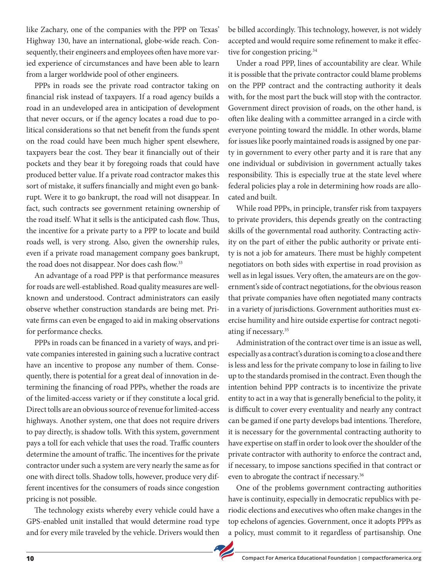like Zachary, one of the companies with the PPP on Texas' Highway 130, have an international, globe-wide reach. Consequently, their engineers and employees often have more varied experience of circumstances and have been able to learn from a larger worldwide pool of other engineers.

PPPs in roads see the private road contractor taking on financial risk instead of taxpayers. If a road agency builds a road in an undeveloped area in anticipation of development that never occurs, or if the agency locates a road due to political considerations so that net benefit from the funds spent on the road could have been much higher spent elsewhere, taxpayers bear the cost. They bear it financially out of their pockets and they bear it by foregoing roads that could have produced better value. If a private road contractor makes this sort of mistake, it suffers financially and might even go bankrupt. Were it to go bankrupt, the road will not disappear. In fact, such contracts see government retaining ownership of the road itself. What it sells is the anticipated cash flow. Thus, the incentive for a private party to a PPP to locate and build roads well, is very strong. Also, given the ownership rules, even if a private road management company goes bankrupt, the road does not disappear. Nor does cash flow.<sup>33</sup>

An advantage of a road PPP is that performance measures for roads are well-established. Road quality measures are wellknown and understood. Contract administrators can easily observe whether construction standards are being met. Private firms can even be engaged to aid in making observations for performance checks.

PPPs in roads can be financed in a variety of ways, and private companies interested in gaining such a lucrative contract have an incentive to propose any number of them. Consequently, there is potential for a great deal of innovation in determining the financing of road PPPs, whether the roads are of the limited-access variety or if they constitute a local grid. Direct tolls are an obvious source of revenue for limited-access highways. Another system, one that does not require drivers to pay directly, is shadow tolls. With this system, government pays a toll for each vehicle that uses the road. Traffic counters determine the amount of traffic. The incentives for the private contractor under such a system are very nearly the same as for one with direct tolls. Shadow tolls, however, produce very different incentives for the consumers of roads since congestion pricing is not possible.

The technology exists whereby every vehicle could have a GPS-enabled unit installed that would determine road type and for every mile traveled by the vehicle. Drivers would then be billed accordingly. This technology, however, is not widely accepted and would require some refinement to make it effective for congestion pricing.<sup>34</sup>

Under a road PPP, lines of accountability are clear. While it is possible that the private contractor could blame problems on the PPP contract and the contracting authority it deals with, for the most part the buck will stop with the contractor. Government direct provision of roads, on the other hand, is often like dealing with a committee arranged in a circle with everyone pointing toward the middle. In other words, blame for issues like poorly maintained roads is assigned by one party in government to every other party and it is rare that any one individual or subdivision in government actually takes responsibility. This is especially true at the state level where federal policies play a role in determining how roads are allocated and built.

While road PPPs, in principle, transfer risk from taxpayers to private providers, this depends greatly on the contracting skills of the governmental road authority. Contracting activity on the part of either the public authority or private entity is not a job for amateurs. There must be highly competent negotiators on both sides with expertise in road provision as well as in legal issues. Very often, the amateurs are on the government's side of contract negotiations, for the obvious reason that private companies have often negotiated many contracts in a variety of jurisdictions. Government authorities must exercise humility and hire outside expertise for contract negotiating if necessary.35

Administration of the contract over time is an issue as well, especially as a contract's duration is coming to a close and there is less and less for the private company to lose in failing to live up to the standards promised in the contract. Even though the intention behind PPP contracts is to incentivize the private entity to act in a way that is generally beneficial to the polity, it is difficult to cover every eventuality and nearly any contract can be gamed if one party develops bad intentions. Therefore, it is necessary for the governmental contracting authority to have expertise on staff in order to look over the shoulder of the private contractor with authority to enforce the contract and, if necessary, to impose sanctions specified in that contract or even to abrogate the contract if necessary.<sup>36</sup>

One of the problems government contracting authorities have is continuity, especially in democratic republics with periodic elections and executives who often make changes in the top echelons of agencies. Government, once it adopts PPPs as a policy, must commit to it regardless of partisanship. One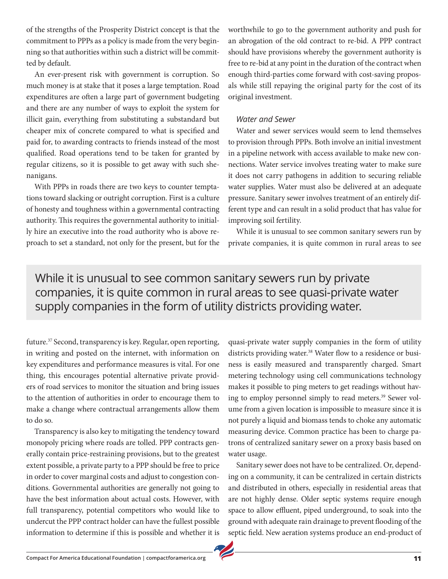of the strengths of the Prosperity District concept is that the commitment to PPPs as a policy is made from the very beginning so that authorities within such a district will be committed by default.

An ever-present risk with government is corruption. So much money is at stake that it poses a large temptation. Road expenditures are often a large part of government budgeting and there are any number of ways to exploit the system for illicit gain, everything from substituting a substandard but cheaper mix of concrete compared to what is specified and paid for, to awarding contracts to friends instead of the most qualified. Road operations tend to be taken for granted by regular citizens, so it is possible to get away with such shenanigans.

With PPPs in roads there are two keys to counter temptations toward slacking or outright corruption. First is a culture of honesty and toughness within a governmental contracting authority. This requires the governmental authority to initially hire an executive into the road authority who is above reproach to set a standard, not only for the present, but for the worthwhile to go to the government authority and push for an abrogation of the old contract to re-bid. A PPP contract should have provisions whereby the government authority is free to re-bid at any point in the duration of the contract when enough third-parties come forward with cost-saving proposals while still repaying the original party for the cost of its original investment.

#### *Water and Sewer*

Water and sewer services would seem to lend themselves to provision through PPPs. Both involve an initial investment in a pipeline network with access available to make new connections. Water service involves treating water to make sure it does not carry pathogens in addition to securing reliable water supplies. Water must also be delivered at an adequate pressure. Sanitary sewer involves treatment of an entirely different type and can result in a solid product that has value for improving soil fertility.

While it is unusual to see common sanitary sewers run by private companies, it is quite common in rural areas to see

# While it is unusual to see common sanitary sewers run by private companies, it is quite common in rural areas to see quasi-private water supply companies in the form of utility districts providing water.

future.37 Second, transparency is key. Regular, open reporting, in writing and posted on the internet, with information on key expenditures and performance measures is vital. For one thing, this encourages potential alternative private providers of road services to monitor the situation and bring issues to the attention of authorities in order to encourage them to make a change where contractual arrangements allow them to do so.

Transparency is also key to mitigating the tendency toward monopoly pricing where roads are tolled. PPP contracts generally contain price-restraining provisions, but to the greatest extent possible, a private party to a PPP should be free to price in order to cover marginal costs and adjust to congestion conditions. Governmental authorities are generally not going to have the best information about actual costs. However, with full transparency, potential competitors who would like to undercut the PPP contract holder can have the fullest possible information to determine if this is possible and whether it is quasi-private water supply companies in the form of utility districts providing water.<sup>38</sup> Water flow to a residence or business is easily measured and transparently charged. Smart metering technology using cell communications technology makes it possible to ping meters to get readings without having to employ personnel simply to read meters.<sup>39</sup> Sewer volume from a given location is impossible to measure since it is not purely a liquid and biomass tends to choke any automatic measuring device. Common practice has been to charge patrons of centralized sanitary sewer on a proxy basis based on water usage.

Sanitary sewer does not have to be centralized. Or, depending on a community, it can be centralized in certain districts and distributed in others, especially in residential areas that are not highly dense. Older septic systems require enough space to allow effluent, piped underground, to soak into the ground with adequate rain drainage to prevent flooding of the septic field. New aeration systems produce an end-product of

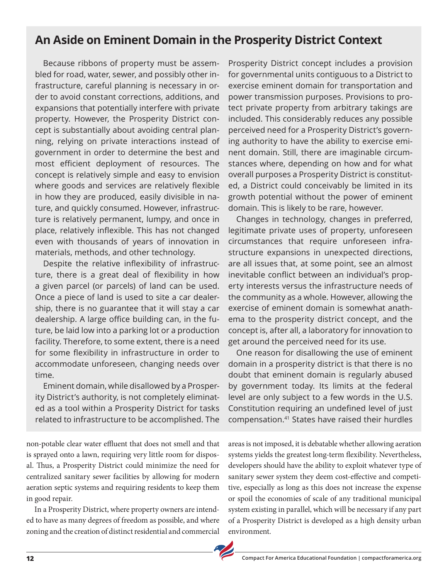# **An Aside on Eminent Domain in the Prosperity District Context**

Because ribbons of property must be assembled for road, water, sewer, and possibly other infrastructure, careful planning is necessary in order to avoid constant corrections, additions, and expansions that potentially interfere with private property. However, the Prosperity District concept is substantially about avoiding central planning, relying on private interactions instead of government in order to determine the best and most efficient deployment of resources. The concept is relatively simple and easy to envision where goods and services are relatively flexible in how they are produced, easily divisible in nature, and quickly consumed. However, infrastructure is relatively permanent, lumpy, and once in place, relatively inflexible. This has not changed even with thousands of years of innovation in materials, methods, and other technology.

Despite the relative inflexibility of infrastructure, there is a great deal of flexibility in how a given parcel (or parcels) of land can be used. Once a piece of land is used to site a car dealership, there is no guarantee that it will stay a car dealership. A large office building can, in the future, be laid low into a parking lot or a production facility. Therefore, to some extent, there is a need for some flexibility in infrastructure in order to accommodate unforeseen, changing needs over time.

Eminent domain, while disallowed by a Prosperity District's authority, is not completely eliminated as a tool within a Prosperity District for tasks related to infrastructure to be accomplished. The

non-potable clear water effluent that does not smell and that is sprayed onto a lawn, requiring very little room for disposal. Thus, a Prosperity District could minimize the need for centralized sanitary sewer facilities by allowing for modern aeration septic systems and requiring residents to keep them in good repair.

In a Prosperity District, where property owners are intended to have as many degrees of freedom as possible, and where zoning and the creation of distinct residential and commercial Prosperity District concept includes a provision for governmental units contiguous to a District to exercise eminent domain for transportation and power transmission purposes. Provisions to protect private property from arbitrary takings are included. This considerably reduces any possible perceived need for a Prosperity District's governing authority to have the ability to exercise eminent domain. Still, there are imaginable circumstances where, depending on how and for what overall purposes a Prosperity District is constituted, a District could conceivably be limited in its growth potential without the power of eminent domain. This is likely to be rare, however.

Changes in technology, changes in preferred, legitimate private uses of property, unforeseen circumstances that require unforeseen infrastructure expansions in unexpected directions, are all issues that, at some point, see an almost inevitable conflict between an individual's property interests versus the infrastructure needs of the community as a whole. However, allowing the exercise of eminent domain is somewhat anathema to the prosperity district concept, and the concept is, after all, a laboratory for innovation to get around the perceived need for its use.

One reason for disallowing the use of eminent domain in a prosperity district is that there is no doubt that eminent domain is regularly abused by government today. Its limits at the federal level are only subject to a few words in the U.S. Constitution requiring an undefined level of just compensation.41 States have raised their hurdles

areas is not imposed, it is debatable whether allowing aeration systems yields the greatest long-term flexibility. Nevertheless, developers should have the ability to exploit whatever type of sanitary sewer system they deem cost-effective and competitive, especially as long as this does not increase the expense or spoil the economies of scale of any traditional municipal system existing in parallel, which will be necessary if any part of a Prosperity District is developed as a high density urban environment.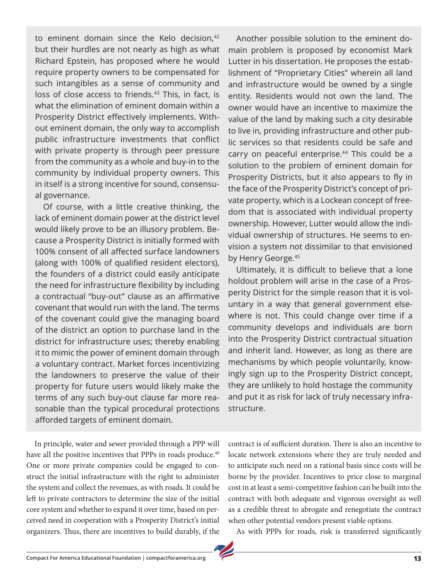to eminent domain since the Kelo decision, $42$ but their hurdles are not nearly as high as what Richard Epstein, has proposed where he would require property owners to be compensated for such intangibles as a sense of community and loss of close access to friends.<sup>43</sup> This, in fact, is what the elimination of eminent domain within a Prosperity District effectively implements. Without eminent domain, the only way to accomplish public infrastructure investments that conflict with private property is through peer pressure from the community as a whole and buy-in to the community by individual property owners. This in itself is a strong incentive for sound, consensual governance.

Of course, with a little creative thinking, the lack of eminent domain power at the district level would likely prove to be an illusory problem. Because a Prosperity District is initially formed with 100% consent of all affected surface landowners (along with 100% of qualified resident electors), the founders of a district could easily anticipate the need for infrastructure flexibility by including a contractual "buy-out" clause as an affirmative covenant that would run with the land. The terms of the covenant could give the managing board of the district an option to purchase land in the district for infrastructure uses; thereby enabling it to mimic the power of eminent domain through a voluntary contract. Market forces incentivizing the landowners to preserve the value of their property for future users would likely make the terms of any such buy-out clause far more reasonable than the typical procedural protections afforded targets of eminent domain.

In principle, water and sewer provided through a PPP will have all the positive incentives that PPPs in roads produce.<sup>40</sup> One or more private companies could be engaged to construct the initial infrastructure with the right to administer the system and collect the revenues, as with roads. It could be left to private contractors to determine the size of the initial core system and whether to expand it over time, based on perceived need in cooperation with a Prosperity District's initial organizers. Thus, there are incentives to build durably, if the

Another possible solution to the eminent domain problem is proposed by economist Mark Lutter in his dissertation. He proposes the establishment of "Proprietary Cities" wherein all land and infrastructure would be owned by a single entity. Residents would not own the land. The owner would have an incentive to maximize the value of the land by making such a city desirable to live in, providing infrastructure and other public services so that residents could be safe and carry on peaceful enterprise.<sup>44</sup> This could be a solution to the problem of eminent domain for Prosperity Districts, but it also appears to fly in the face of the Prosperity District's concept of private property, which is a Lockean concept of freedom that is associated with individual property ownership. However, Lutter would allow the individual ownership of structures. He seems to envision a system not dissimilar to that envisioned by Henry George.<sup>45</sup>

Ultimately, it is difficult to believe that a lone holdout problem will arise in the case of a Prosperity District for the simple reason that it is voluntary in a way that general government elsewhere is not. This could change over time if a community develops and individuals are born into the Prosperity District contractual situation and inherit land. However, as long as there are mechanisms by which people voluntarily, knowingly sign up to the Prosperity District concept, they are unlikely to hold hostage the community and put it as risk for lack of truly necessary infrastructure.

contract is of sufficient duration. There is also an incentive to locate network extensions where they are truly needed and to anticipate such need on a rational basis since costs will be borne by the provider. Incentives to price close to marginal cost in at least a semi-competitive fashion can be built into the contract with both adequate and vigorous oversight as well as a credible threat to abrogate and renegotiate the contract when other potential vendors present viable options.

As with PPPs for roads, risk is transferred significantly

**Compact For America Educational Foundation | compactforamerica.org 13**

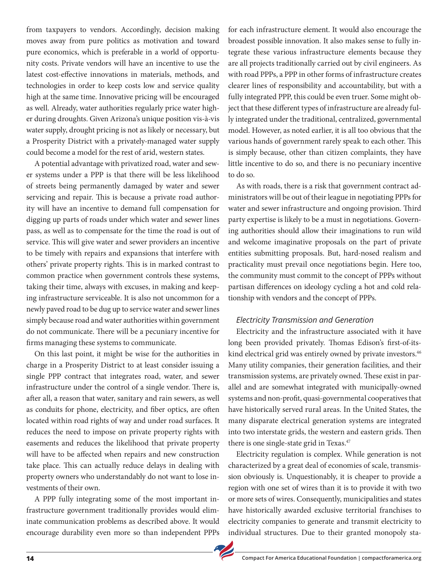from taxpayers to vendors. Accordingly, decision making moves away from pure politics as motivation and toward pure economics, which is preferable in a world of opportunity costs. Private vendors will have an incentive to use the latest cost-effective innovations in materials, methods, and technologies in order to keep costs low and service quality high at the same time. Innovative pricing will be encouraged as well. Already, water authorities regularly price water higher during droughts. Given Arizona's unique position vis-à-vis water supply, drought pricing is not as likely or necessary, but a Prosperity District with a privately-managed water supply could become a model for the rest of arid, western states.

A potential advantage with privatized road, water and sewer systems under a PPP is that there will be less likelihood of streets being permanently damaged by water and sewer servicing and repair. This is because a private road authority will have an incentive to demand full compensation for digging up parts of roads under which water and sewer lines pass, as well as to compensate for the time the road is out of service. This will give water and sewer providers an incentive to be timely with repairs and expansions that interfere with others' private property rights. This is in marked contrast to common practice when government controls these systems, taking their time, always with excuses, in making and keeping infrastructure serviceable. It is also not uncommon for a newly paved road to be dug up to service water and sewer lines simply because road and water authorities within government do not communicate. There will be a pecuniary incentive for firms managing these systems to communicate.

On this last point, it might be wise for the authorities in charge in a Prosperity District to at least consider issuing a single PPP contract that integrates road, water, and sewer infrastructure under the control of a single vendor. There is, after all, a reason that water, sanitary and rain sewers, as well as conduits for phone, electricity, and fiber optics, are often located within road rights of way and under road surfaces. It reduces the need to impose on private property rights with easements and reduces the likelihood that private property will have to be affected when repairs and new construction take place. This can actually reduce delays in dealing with property owners who understandably do not want to lose investments of their own.

A PPP fully integrating some of the most important infrastructure government traditionally provides would eliminate communication problems as described above. It would encourage durability even more so than independent PPPs for each infrastructure element. It would also encourage the broadest possible innovation. It also makes sense to fully integrate these various infrastructure elements because they are all projects traditionally carried out by civil engineers. As with road PPPs, a PPP in other forms of infrastructure creates clearer lines of responsibility and accountability, but with a fully integrated PPP, this could be even truer. Some might object that these different types of infrastructure are already fully integrated under the traditional, centralized, governmental model. However, as noted earlier, it is all too obvious that the various hands of government rarely speak to each other. This is simply because, other than citizen complaints, they have little incentive to do so, and there is no pecuniary incentive to do so.

As with roads, there is a risk that government contract administrators will be out of their league in negotiating PPPs for water and sewer infrastructure and ongoing provision. Third party expertise is likely to be a must in negotiations. Governing authorities should allow their imaginations to run wild and welcome imaginative proposals on the part of private entities submitting proposals. But, hard-nosed realism and practicality must prevail once negotiations begin. Here too, the community must commit to the concept of PPPs without partisan differences on ideology cycling a hot and cold relationship with vendors and the concept of PPPs.

#### *Electricity Transmission and Generation*

Electricity and the infrastructure associated with it have long been provided privately. Thomas Edison's first-of-itskind electrical grid was entirely owned by private investors.<sup>46</sup> Many utility companies, their generation facilities, and their transmission systems, are privately owned. These exist in parallel and are somewhat integrated with municipally-owned systems and non-profit, quasi-governmental cooperatives that have historically served rural areas. In the United States, the many disparate electrical generation systems are integrated into two interstate grids, the western and eastern grids. Then there is one single-state grid in Texas.<sup>47</sup>

Electricity regulation is complex. While generation is not characterized by a great deal of economies of scale, transmission obviously is. Unquestionably, it is cheaper to provide a region with one set of wires than it is to provide it with two or more sets of wires. Consequently, municipalities and states have historically awarded exclusive territorial franchises to electricity companies to generate and transmit electricity to individual structures. Due to their granted monopoly sta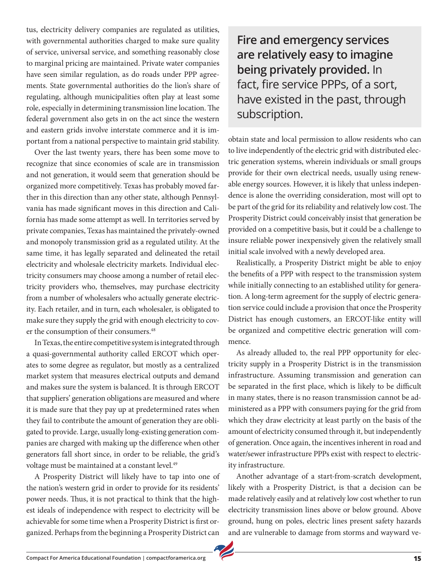tus, electricity delivery companies are regulated as utilities, with governmental authorities charged to make sure quality of service, universal service, and something reasonably close to marginal pricing are maintained. Private water companies have seen similar regulation, as do roads under PPP agreements. State governmental authorities do the lion's share of regulating, although municipalities often play at least some role, especially in determining transmission line location. The federal government also gets in on the act since the western and eastern grids involve interstate commerce and it is important from a national perspective to maintain grid stability.

Over the last twenty years, there has been some move to recognize that since economies of scale are in transmission and not generation, it would seem that generation should be organized more competitively. Texas has probably moved farther in this direction than any other state, although Pennsylvania has made significant moves in this direction and California has made some attempt as well. In territories served by private companies, Texas has maintained the privately-owned and monopoly transmission grid as a regulated utility. At the same time, it has legally separated and delineated the retail electricity and wholesale electricity markets. Individual electricity consumers may choose among a number of retail electricity providers who, themselves, may purchase electricity from a number of wholesalers who actually generate electricity. Each retailer, and in turn, each wholesaler, is obligated to make sure they supply the grid with enough electricity to cover the consumption of their consumers.<sup>48</sup>

In Texas, the entire competitive system is integrated through a quasi-governmental authority called ERCOT which operates to some degree as regulator, but mostly as a centralized market system that measures electrical outputs and demand and makes sure the system is balanced. It is through ERCOT that suppliers' generation obligations are measured and where it is made sure that they pay up at predetermined rates when they fail to contribute the amount of generation they are obligated to provide. Large, usually long-existing generation companies are charged with making up the difference when other generators fall short since, in order to be reliable, the grid's voltage must be maintained at a constant level.<sup>49</sup>

A Prosperity District will likely have to tap into one of the nation's western grid in order to provide for its residents' power needs. Thus, it is not practical to think that the highest ideals of independence with respect to electricity will be achievable for some time when a Prosperity District is first organized. Perhaps from the beginning a Prosperity District can

**Fire and emergency services are relatively easy to imagine being privately provided.** In fact, fire service PPPs, of a sort, have existed in the past, through subscription.

obtain state and local permission to allow residents who can to live independently of the electric grid with distributed electric generation systems, wherein individuals or small groups provide for their own electrical needs, usually using renewable energy sources. However, it is likely that unless independence is alone the overriding consideration, most will opt to be part of the grid for its reliability and relatively low cost. The Prosperity District could conceivably insist that generation be provided on a competitive basis, but it could be a challenge to insure reliable power inexpensively given the relatively small initial scale involved with a newly developed area.

Realistically, a Prosperity District might be able to enjoy the benefits of a PPP with respect to the transmission system while initially connecting to an established utility for generation. A long-term agreement for the supply of electric generation service could include a provision that once the Prosperity District has enough customers, an ERCOT-like entity will be organized and competitive electric generation will commence.

As already alluded to, the real PPP opportunity for electricity supply in a Prosperity District is in the transmission infrastructure. Assuming transmission and generation can be separated in the first place, which is likely to be difficult in many states, there is no reason transmission cannot be administered as a PPP with consumers paying for the grid from which they draw electricity at least partly on the basis of the amount of electricity consumed through it, but independently of generation. Once again, the incentives inherent in road and water/sewer infrastructure PPPs exist with respect to electricity infrastructure.

Another advantage of a start-from-scratch development, likely with a Prosperity District, is that a decision can be made relatively easily and at relatively low cost whether to run electricity transmission lines above or below ground. Above ground, hung on poles, electric lines present safety hazards and are vulnerable to damage from storms and wayward ve-

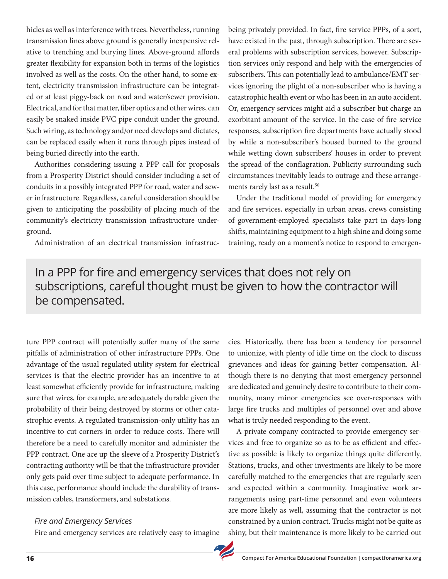hicles as well as interference with trees. Nevertheless, running transmission lines above ground is generally inexpensive relative to trenching and burying lines. Above-ground affords greater flexibility for expansion both in terms of the logistics involved as well as the costs. On the other hand, to some extent, electricity transmission infrastructure can be integrated or at least piggy-back on road and water/sewer provision. Electrical, and for that matter, fiber optics and other wires, can easily be snaked inside PVC pipe conduit under the ground. Such wiring, as technology and/or need develops and dictates, can be replaced easily when it runs through pipes instead of being buried directly into the earth.

Authorities considering issuing a PPP call for proposals from a Prosperity District should consider including a set of conduits in a possibly integrated PPP for road, water and sewer infrastructure. Regardless, careful consideration should be given to anticipating the possibility of placing much of the community's electricity transmission infrastructure underground.

Administration of an electrical transmission infrastruc-

being privately provided. In fact, fire service PPPs, of a sort, have existed in the past, through subscription. There are several problems with subscription services, however. Subscription services only respond and help with the emergencies of subscribers. This can potentially lead to ambulance/EMT services ignoring the plight of a non-subscriber who is having a catastrophic health event or who has been in an auto accident. Or, emergency services might aid a subscriber but charge an exorbitant amount of the service. In the case of fire service responses, subscription fire departments have actually stood by while a non-subscriber's housed burned to the ground while wetting down subscribers' houses in order to prevent the spread of the conflagration. Publicity surrounding such circumstances inevitably leads to outrage and these arrangements rarely last as a result.<sup>50</sup>

Under the traditional model of providing for emergency and fire services, especially in urban areas, crews consisting of government-employed specialists take part in days-long shifts, maintaining equipment to a high shine and doing some training, ready on a moment's notice to respond to emergen-

# In a PPP for fire and emergency services that does not rely on subscriptions, careful thought must be given to how the contractor will be compensated.

ture PPP contract will potentially suffer many of the same pitfalls of administration of other infrastructure PPPs. One advantage of the usual regulated utility system for electrical services is that the electric provider has an incentive to at least somewhat efficiently provide for infrastructure, making sure that wires, for example, are adequately durable given the probability of their being destroyed by storms or other catastrophic events. A regulated transmission-only utility has an incentive to cut corners in order to reduce costs. There will therefore be a need to carefully monitor and administer the PPP contract. One ace up the sleeve of a Prosperity District's contracting authority will be that the infrastructure provider only gets paid over time subject to adequate performance. In this case, performance should include the durability of transmission cables, transformers, and substations.

#### *Fire and Emergency Services*

Fire and emergency services are relatively easy to imagine

cies. Historically, there has been a tendency for personnel to unionize, with plenty of idle time on the clock to discuss grievances and ideas for gaining better compensation. Although there is no denying that most emergency personnel are dedicated and genuinely desire to contribute to their community, many minor emergencies see over-responses with large fire trucks and multiples of personnel over and above what is truly needed responding to the event.

A private company contracted to provide emergency services and free to organize so as to be as efficient and effective as possible is likely to organize things quite differently. Stations, trucks, and other investments are likely to be more carefully matched to the emergencies that are regularly seen and expected within a community. Imaginative work arrangements using part-time personnel and even volunteers are more likely as well, assuming that the contractor is not constrained by a union contract. Trucks might not be quite as shiny, but their maintenance is more likely to be carried out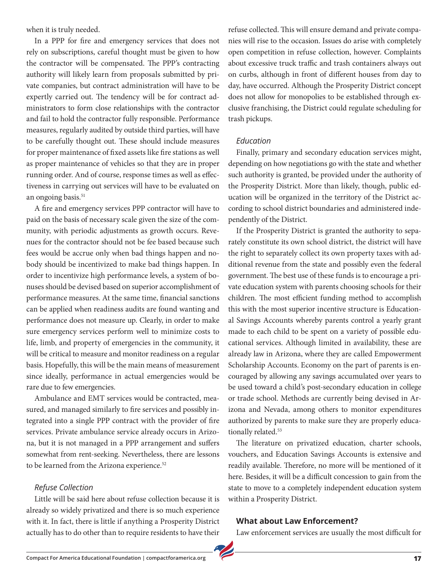when it is truly needed.

In a PPP for fire and emergency services that does not rely on subscriptions, careful thought must be given to how the contractor will be compensated. The PPP's contracting authority will likely learn from proposals submitted by private companies, but contract administration will have to be expertly carried out. The tendency will be for contract administrators to form close relationships with the contractor and fail to hold the contractor fully responsible. Performance measures, regularly audited by outside third parties, will have to be carefully thought out. These should include measures for proper maintenance of fixed assets like fire stations as well as proper maintenance of vehicles so that they are in proper running order. And of course, response times as well as effectiveness in carrying out services will have to be evaluated on an ongoing basis.<sup>51</sup>

A fire and emergency services PPP contractor will have to paid on the basis of necessary scale given the size of the community, with periodic adjustments as growth occurs. Revenues for the contractor should not be fee based because such fees would be accrue only when bad things happen and nobody should be incentivized to make bad things happen. In order to incentivize high performance levels, a system of bonuses should be devised based on superior accomplishment of performance measures. At the same time, financial sanctions can be applied when readiness audits are found wanting and performance does not measure up. Clearly, in order to make sure emergency services perform well to minimize costs to life, limb, and property of emergencies in the community, it will be critical to measure and monitor readiness on a regular basis. Hopefully, this will be the main means of measurement since ideally, performance in actual emergencies would be rare due to few emergencies.

Ambulance and EMT services would be contracted, measured, and managed similarly to fire services and possibly integrated into a single PPP contract with the provider of fire services. Private ambulance service already occurs in Arizona, but it is not managed in a PPP arrangement and suffers somewhat from rent-seeking. Nevertheless, there are lessons to be learned from the Arizona experience.<sup>52</sup>

#### *Refuse Collection*

Little will be said here about refuse collection because it is already so widely privatized and there is so much experience with it. In fact, there is little if anything a Prosperity District actually has to do other than to require residents to have their refuse collected. This will ensure demand and private companies will rise to the occasion. Issues do arise with completely open competition in refuse collection, however. Complaints about excessive truck traffic and trash containers always out on curbs, although in front of different houses from day to day, have occurred. Although the Prosperity District concept does not allow for monopolies to be established through exclusive franchising, the District could regulate scheduling for trash pickups.

#### *Education*

Finally, primary and secondary education services might, depending on how negotiations go with the state and whether such authority is granted, be provided under the authority of the Prosperity District. More than likely, though, public education will be organized in the territory of the District according to school district boundaries and administered independently of the District.

If the Prosperity District is granted the authority to separately constitute its own school district, the district will have the right to separately collect its own property taxes with additional revenue from the state and possibly even the federal government. The best use of these funds is to encourage a private education system with parents choosing schools for their children. The most efficient funding method to accomplish this with the most superior incentive structure is Educational Savings Accounts whereby parents control a yearly grant made to each child to be spent on a variety of possible educational services. Although limited in availability, these are already law in Arizona, where they are called Empowerment Scholarship Accounts. Economy on the part of parents is encouraged by allowing any savings accumulated over years to be used toward a child's post-secondary education in college or trade school. Methods are currently being devised in Arizona and Nevada, among others to monitor expenditures authorized by parents to make sure they are properly educationally related.<sup>53</sup>

The literature on privatized education, charter schools, vouchers, and Education Savings Accounts is extensive and readily available. Therefore, no more will be mentioned of it here. Besides, it will be a difficult concession to gain from the state to move to a completely independent education system within a Prosperity District.

#### **What about Law Enforcement?**

Law enforcement services are usually the most difficult for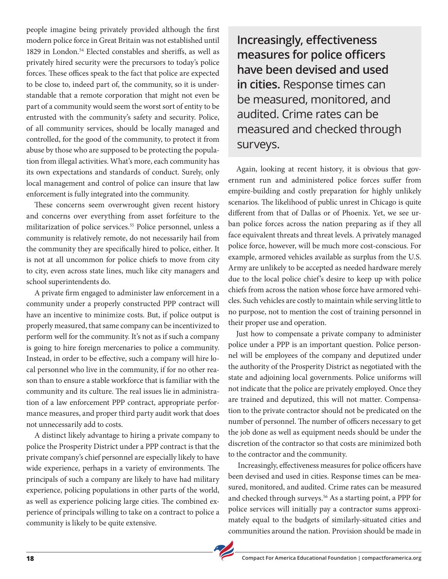people imagine being privately provided although the first modern police force in Great Britain was not established until 1829 in London.54 Elected constables and sheriffs, as well as privately hired security were the precursors to today's police forces. These offices speak to the fact that police are expected to be close to, indeed part of, the community, so it is understandable that a remote corporation that might not even be part of a community would seem the worst sort of entity to be entrusted with the community's safety and security. Police, of all community services, should be locally managed and controlled, for the good of the community, to protect it from abuse by those who are supposed to be protecting the population from illegal activities. What's more, each community has its own expectations and standards of conduct. Surely, only local management and control of police can insure that law enforcement is fully integrated into the community.

These concerns seem overwrought given recent history and concerns over everything from asset forfeiture to the militarization of police services.<sup>55</sup> Police personnel, unless a community is relatively remote, do not necessarily hail from the community they are specifically hired to police, either. It is not at all uncommon for police chiefs to move from city to city, even across state lines, much like city managers and school superintendents do.

A private firm engaged to administer law enforcement in a community under a properly constructed PPP contract will have an incentive to minimize costs. But, if police output is properly measured, that same company can be incentivized to perform well for the community. It's not as if such a company is going to hire foreign mercenaries to police a community. Instead, in order to be effective, such a company will hire local personnel who live in the community, if for no other reason than to ensure a stable workforce that is familiar with the community and its culture. The real issues lie in administration of a law enforcement PPP contract, appropriate performance measures, and proper third party audit work that does not unnecessarily add to costs.

A distinct likely advantage to hiring a private company to police the Prosperity District under a PPP contract is that the private company's chief personnel are especially likely to have wide experience, perhaps in a variety of environments. The principals of such a company are likely to have had military experience, policing populations in other parts of the world, as well as experience policing large cities. The combined experience of principals willing to take on a contract to police a community is likely to be quite extensive.

**Increasingly, effectiveness measures for police officers have been devised and used in cities.** Response times can be measured, monitored, and audited. Crime rates can be measured and checked through surveys.

Again, looking at recent history, it is obvious that government run and administered police forces suffer from empire-building and costly preparation for highly unlikely scenarios. The likelihood of public unrest in Chicago is quite different from that of Dallas or of Phoenix. Yet, we see urban police forces across the nation preparing as if they all face equivalent threats and threat levels. A privately managed police force, however, will be much more cost-conscious. For example, armored vehicles available as surplus from the U.S. Army are unlikely to be accepted as needed hardware merely due to the local police chief's desire to keep up with police chiefs from across the nation whose force have armored vehicles. Such vehicles are costly to maintain while serving little to no purpose, not to mention the cost of training personnel in their proper use and operation.

Just how to compensate a private company to administer police under a PPP is an important question. Police personnel will be employees of the company and deputized under the authority of the Prosperity District as negotiated with the state and adjoining local governments. Police uniforms will not indicate that the police are privately employed. Once they are trained and deputized, this will not matter. Compensation to the private contractor should not be predicated on the number of personnel. The number of officers necessary to get the job done as well as equipment needs should be under the discretion of the contractor so that costs are minimized both to the contractor and the community.

 Increasingly, effectiveness measures for police officers have been devised and used in cities. Response times can be measured, monitored, and audited. Crime rates can be measured and checked through surveys.<sup>56</sup> As a starting point, a PPP for police services will initially pay a contractor sums approximately equal to the budgets of similarly-situated cities and communities around the nation. Provision should be made in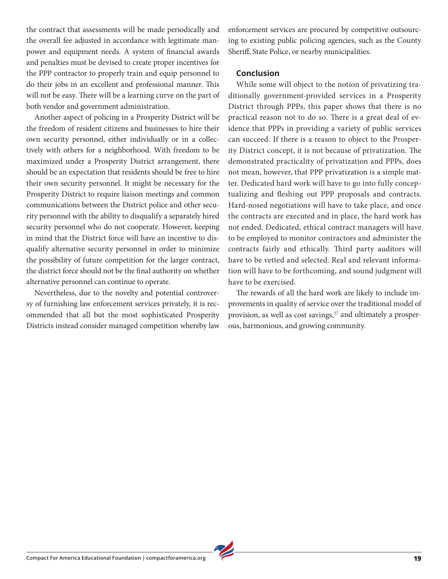the contract that assessments will be made periodically and the overall fee adjusted in accordance with legitimate manpower and equipment needs. A system of financial awards and penalties must be devised to create proper incentives for the PPP contractor to properly train and equip personnel to do their jobs in an excellent and professional manner. This will not be easy. There will be a learning curve on the part of both vendor and government administration.

Another aspect of policing in a Prosperity District will be the freedom of resident citizens and businesses to hire their own security personnel, either individually or in a collectively with others for a neighborhood. With freedom to be maximized under a Prosperity District arrangement, there should be an expectation that residents should be free to hire their own security personnel. It might be necessary for the Prosperity District to require liaison meetings and common communications between the District police and other security personnel with the ability to disqualify a separately hired security personnel who do not cooperate. However, keeping in mind that the District force will have an incentive to disqualify alternative security personnel in order to minimize the possibility of future competition for the larger contract, the district force should not be the final authority on whether alternative personnel can continue to operate.

Nevertheless, due to the novelty and potential controversy of furnishing law enforcement services privately, it is recommended that all but the most sophisticated Prosperity Districts instead consider managed competition whereby law enforcement services are procured by competitive outsourcing to existing public policing agencies, such as the County Sheriff, State Police, or nearby municipalities.

#### **Conclusion**

While some will object to the notion of privatizing traditionally government-provided services in a Prosperity District through PPPs, this paper shows that there is no practical reason not to do so. There is a great deal of evidence that PPPs in providing a variety of public services can succeed. If there is a reason to object to the Prosperity District concept, it is not because of privatization. The demonstrated practicality of privatization and PPPs, does not mean, however, that PPP privatization is a simple matter. Dedicated hard work will have to go into fully conceptualizing and fleshing out PPP proposals and contracts. Hard-nosed negotiations will have to take place, and once the contracts are executed and in place, the hard work has not ended. Dedicated, ethical contract managers will have to be employed to monitor contractors and administer the contracts fairly and ethically. Third party auditors will have to be vetted and selected. Real and relevant information will have to be forthcoming, and sound judgment will have to be exercised.

The rewards of all the hard work are likely to include improvements in quality of service over the traditional model of provision, as well as cost savings,<sup>57</sup> and ultimately a prosperous, harmonious, and growing community.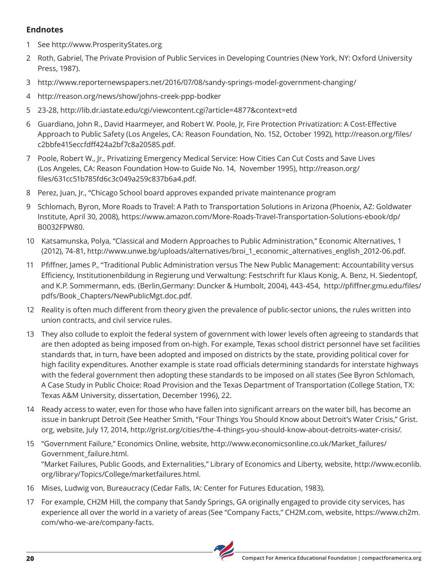#### **Endnotes**

- 1 See http://www.ProsperityStates.org
- 2 Roth, Gabriel, The Private Provision of Public Services in Developing Countries (New York, NY: Oxford University Press, 1987).
- 3 http://www.reporternewspapers.net/2016/07/08/sandy-springs-model-government-changing/
- 4 http://reason.org/news/show/johns-creek-ppp-bodker
- 5 23-28, http://lib.dr.iastate.edu/cgi/viewcontent.cgi?article=4877&context=etd
- 6 Guardiano, John R., David Haarmeyer, and Robert W. Poole, Jr, Fire Protection Privatization: A Cost-Effective Approach to Public Safety (Los Angeles, CA: Reason Foundation, No. 152, October 1992), http://reason.org/files/ c2bbfe415eccfdff424a2bf7c8a20585.pdf.
- 7 Poole, Robert W., Jr., Privatizing Emergency Medical Service: How Cities Can Cut Costs and Save Lives (Los Angeles, CA: Reason Foundation How-to Guide No. 14, November 1995), http://reason.org/ files/631cc51b785fd6c3c049a259c837b6a4.pdf.
- 8 Perez, Juan, Jr., "Chicago School board approves expanded private maintenance program
- 9 Schlomach, Byron, More Roads to Travel: A Path to Transportation Solutions in Arizona (Phoenix, AZ: Goldwater Institute, April 30, 2008), https://www.amazon.com/More-Roads-Travel-Transportation-Solutions-ebook/dp/ B0032FPW80.
- 10 Katsamunska, Polya, "Classical and Modern Approaches to Public Administration," Economic Alternatives, 1 (2012), 74-81, http://www.unwe.bg/uploads/alternatives/broi\_1\_economic\_alternatives\_english\_2012-06.pdf.
- 11 Pfiffner, James P., "Traditional Public Administration versus The New Public Management: Accountability versus Efficiency, Institutionenbildung in Regierung und Verwaltung: Festschrift fur Klaus Konig, A. Benz, H. Siedentopf, and K.P. Sommermann, eds. (Berlin,Germany: Duncker & Humbolt, 2004), 443-454, http://pfiffner.gmu.edu/files/ pdfs/Book\_Chapters/NewPublicMgt.doc.pdf.
- 12 Reality is often much different from theory given the prevalence of public-sector unions, the rules written into union contracts, and civil service rules.
- 13 They also collude to exploit the federal system of government with lower levels often agreeing to standards that are then adopted as being imposed from on-high. For example, Texas school district personnel have set facilities standards that, in turn, have been adopted and imposed on districts by the state, providing political cover for high facility expenditures. Another example is state road officials determining standards for interstate highways with the federal government then adopting these standards to be imposed on all states (See Byron Schlomach, A Case Study in Public Choice: Road Provision and the Texas Department of Transportation (College Station, TX: Texas A&M University, dissertation, December 1996), 22.
- 14 Ready access to water, even for those who have fallen into significant arrears on the water bill, has become an issue in bankrupt Detroit (See Heather Smith, "Four Things You Should Know about Detroit's Water Crisis," Grist. org, website, July 17, 2014, http://grist.org/cities/the-4-things-you-should-know-about-detroits-water-crisis/.
- 15 "Government Failure," Economics Online, website, http://www.economicsonline.co.uk/Market\_failures/ Government\_failure.html. "Market Failures, Public Goods, and Externalities," Library of Economics and Liberty, website, http://www.econlib. org/library/Topics/College/marketfailures.html.
- 16 Mises, Ludwig von, Bureaucracy (Cedar Falls, IA: Center for Futures Education, 1983).
- 17 For example, CH2M Hill, the company that Sandy Springs, GA originally engaged to provide city services, has experience all over the world in a variety of areas (See "Company Facts," CH2M.com, website, https://www.ch2m. com/who-we-are/company-facts.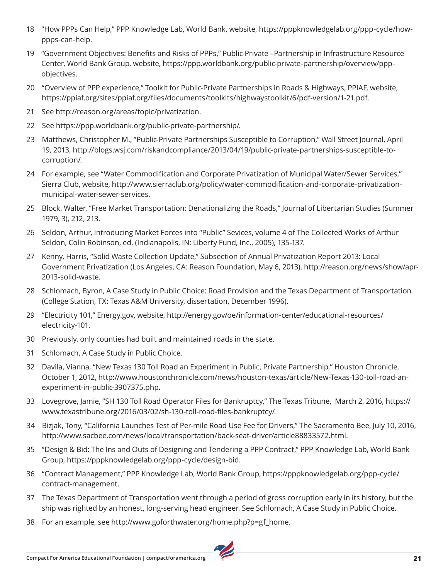- 18 "How PPPs Can Help," PPP Knowledge Lab, World Bank, website, https://pppknowledgelab.org/ppp-cycle/howppps-can-help.
- 19 "Government Objectives: Benefits and Risks of PPPs," Public-Private –Partnership in Infrastructure Resource Center, World Bank Group, website, https://ppp.worldbank.org/public-private-partnership/overview/pppobjectives.
- 20 "Overview of PPP experience," Toolkit for Public-Private Partnerships in Roads & Highways, PPIAF, website, https://ppiaf.org/sites/ppiaf.org/files/documents/toolkits/highwaystoolkit/6/pdf-version/1-21.pdf.
- 21 See http://reason.org/areas/topic/privatization.
- 22 See https://ppp.worldbank.org/public-private-partnership/.
- 23 Matthews, Christopher M., "Public-Private Partnerships Susceptible to Corruption," Wall Street Journal, April 19, 2013, http://blogs.wsj.com/riskandcompliance/2013/04/19/public-private-partnerships-susceptible-tocorruption/.
- 24 For example, see "Water Commodification and Corporate Privatization of Municipal Water/Sewer Services," Sierra Club, website, http://www.sierraclub.org/policy/water-commodification-and-corporate-privatizationmunicipal-water-sewer-services.
- 25 Block, Walter, "Free Market Transportation: Denationalizing the Roads," Journal of Libertarian Studies (Summer 1979, 3), 212, 213.
- 26 Seldon, Arthur, Introducing Market Forces into "Public" Sevices, volume 4 of The Collected Works of Arthur Seldon, Colin Robinson, ed. (Indianapolis, IN: Liberty Fund, Inc., 2005), 135-137.
- 27 Kenny, Harris, "Solid Waste Collection Update," Subsection of Annual Privatization Report 2013: Local Government Privatization (Los Angeles, CA: Reason Foundation, May 6, 2013), http://reason.org/news/show/apr-2013-solid-waste.
- 28 Schlomach, Byron, A Case Study in Public Choice: Road Provision and the Texas Department of Transportation (College Station, TX: Texas A&M University, dissertation, December 1996).
- 29 "Electricity 101," Energy.gov, website, http://energy.gov/oe/information-center/educational-resources/ electricity-101.
- 30 Previously, only counties had built and maintained roads in the state.
- 31 Schlomach, A Case Study in Public Choice.
- 32 Davila, Vianna, "New Texas 130 Toll Road an Experiment in Public, Private Partnership," Houston Chronicle, October 1, 2012, http://www.houstonchronicle.com/news/houston-texas/article/New-Texas-130-toll-road-anexperiment-in-public-3907375.php.
- 33 Lovegrove, Jamie, "SH 130 Toll Road Operator Files for Bankruptcy," The Texas Tribune, March 2, 2016, https:// www.texastribune.org/2016/03/02/sh-130-toll-road-files-bankruptcy/.
- 34 Bizjak, Tony, "California Launches Test of Per-mile Road Use Fee for Drivers," The Sacramento Bee, July 10, 2016, http://www.sacbee.com/news/local/transportation/back-seat-driver/article88833572.html.
- 35 "Design & Bid: The Ins and Outs of Designing and Tendering a PPP Contract," PPP Knowledge Lab, World Bank Group, https://pppknowledgelab.org/ppp-cycle/design-bid.
- 36 "Contract Management," PPP Knowledge Lab, World Bank Group, https://pppknowledgelab.org/ppp-cycle/ contract-management.
- 37 The Texas Department of Transportation went through a period of gross corruption early in its history, but the ship was righted by an honest, long-serving head engineer. See Schlomach, A Case Study in Public Choice.
- 38 For an example, see http://www.goforthwater.org/home.php?p=gf\_home.

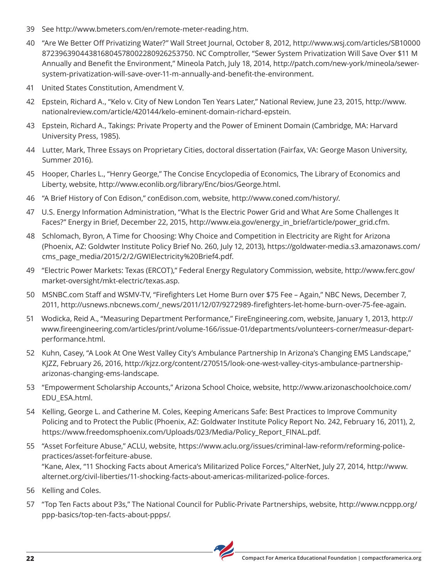- 39 See http://www.bmeters.com/en/remote-meter-reading.htm.
- 40 "Are We Better Off Privatizing Water?" Wall Street Journal, October 8, 2012, http://www.wsj.com/articles/SB10000 872396390443816804578002280926253750. NC Comptroller, "Sewer System Privatization Will Save Over \$11 M Annually and Benefit the Environment," Mineola Patch, July 18, 2014, http://patch.com/new-york/mineola/sewersystem-privatization-will-save-over-11-m-annually-and-benefit-the-environment.
- 41 United States Constitution, Amendment V.
- 42 Epstein, Richard A., "Kelo v. City of New London Ten Years Later," National Review, June 23, 2015, http://www. nationalreview.com/article/420144/kelo-eminent-domain-richard-epstein.
- 43 Epstein, Richard A., Takings: Private Property and the Power of Eminent Domain (Cambridge, MA: Harvard University Press, 1985).
- 44 Lutter, Mark, Three Essays on Proprietary Cities, doctoral dissertation (Fairfax, VA: George Mason University, Summer 2016).
- 45 Hooper, Charles L., "Henry George," The Concise Encyclopedia of Economics, The Library of Economics and Liberty, website, http://www.econlib.org/library/Enc/bios/George.html.
- 46 "A Brief History of Con Edison," conEdison.com, website, http://www.coned.com/history/.
- 47 U.S. Energy Information Administration, "What Is the Electric Power Grid and What Are Some Challenges It Faces?" Energy in Brief, December 22, 2015, http://www.eia.gov/energy\_in\_brief/article/power\_grid.cfm.
- 48 Schlomach, Byron, A Time for Choosing: Why Choice and Competition in Electricity are Right for Arizona (Phoenix, AZ: Goldwter Institute Policy Brief No. 260, July 12, 2013), https://goldwater-media.s3.amazonaws.com/ cms\_page\_media/2015/2/2/GWIElectricity%20Brief4.pdf.
- 49 "Electric Power Markets: Texas (ERCOT)," Federal Energy Regulatory Commission, website, http://www.ferc.gov/ market-oversight/mkt-electric/texas.asp.
- 50 MSNBC.com Staff and WSMV-TV, "Firefighters Let Home Burn over \$75 Fee Again," NBC News, December 7, 2011, http://usnews.nbcnews.com/\_news/2011/12/07/9272989-firefighters-let-home-burn-over-75-fee-again.
- 51 Wodicka, Reid A., "Measuring Department Performance," FireEngineering.com, website, January 1, 2013, http:// www.fireengineering.com/articles/print/volume-166/issue-01/departments/volunteers-corner/measur-departperformance.html.
- 52 Kuhn, Casey, "A Look At One West Valley City's Ambulance Partnership In Arizona's Changing EMS Landscape," KJZZ, February 26, 2016, http://kjzz.org/content/270515/look-one-west-valley-citys-ambulance-partnershiparizonas-changing-ems-landscape.
- 53 "Empowerment Scholarship Accounts," Arizona School Choice, website, http://www.arizonaschoolchoice.com/ EDU\_ESA.html.
- 54 Kelling, George L. and Catherine M. Coles, Keeping Americans Safe: Best Practices to Improve Community Policing and to Protect the Public (Phoenix, AZ: Goldwater Institute Policy Report No. 242, February 16, 2011), 2, https://www.freedomsphoenix.com/Uploads/023/Media/Policy\_Report\_FINAL.pdf.
- 55 "Asset Forfeiture Abuse," ACLU, website, https://www.aclu.org/issues/criminal-law-reform/reforming-policepractices/asset-forfeiture-abuse. "Kane, Alex, "11 Shocking Facts about America's Militarized Police Forces," AlterNet, July 27, 2014, http://www. alternet.org/civil-liberties/11-shocking-facts-about-americas-militarized-police-forces.
- 56 Kelling and Coles.
- 57 "Top Ten Facts about P3s," The National Council for Public-Private Partnerships, website, http://www.ncppp.org/ ppp-basics/top-ten-facts-about-ppps/.